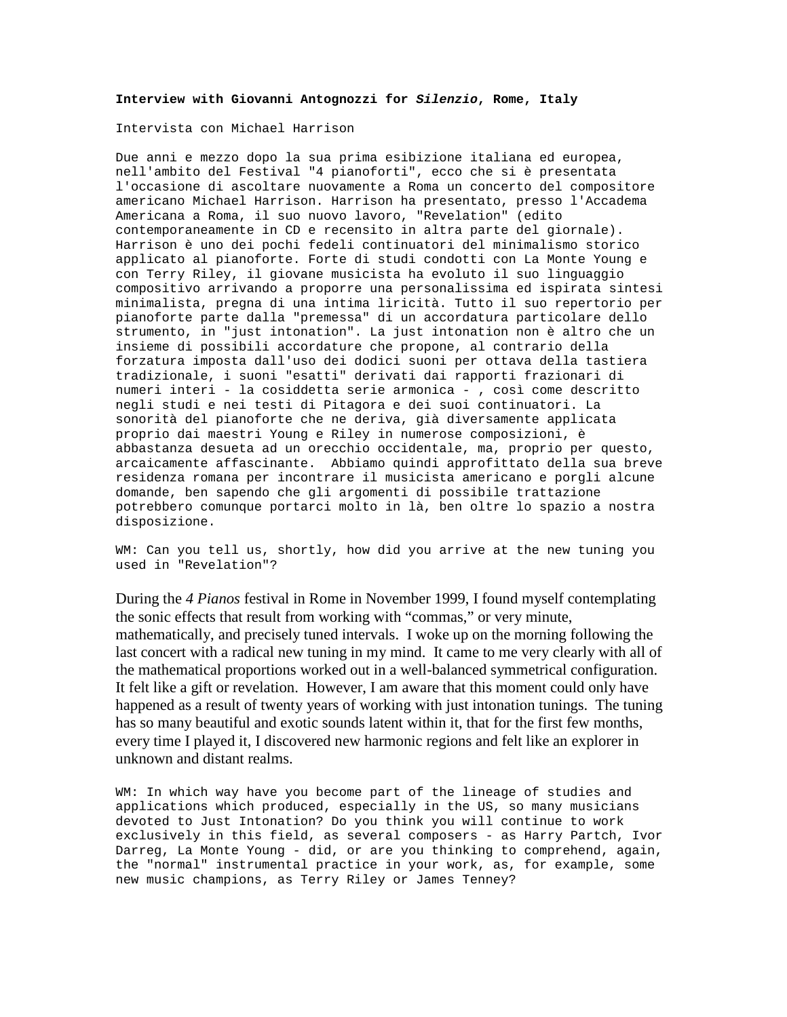## **Interview with Giovanni Antognozzi for** *Silenzio***, Rome, Italy**

Intervista con Michael Harrison

Due anni e mezzo dopo la sua prima esibizione italiana ed europea, nell'ambito del Festival "4 pianoforti", ecco che si è presentata l'occasione di ascoltare nuovamente a Roma un concerto del compositore americano Michael Harrison. Harrison ha presentato, presso l'Accadema Americana a Roma, il suo nuovo lavoro, "Revelation" (edito contemporaneamente in CD e recensito in altra parte del giornale). Harrison è uno dei pochi fedeli continuatori del minimalismo storico applicato al pianoforte. Forte di studi condotti con La Monte Young e con Terry Riley, il giovane musicista ha evoluto il suo linguaggio compositivo arrivando a proporre una personalissima ed ispirata sintesi minimalista, pregna di una intima liricità. Tutto il suo repertorio per pianoforte parte dalla "premessa" di un accordatura particolare dello strumento, in "just intonation". La just intonation non è altro che un insieme di possibili accordature che propone, al contrario della forzatura imposta dall'uso dei dodici suoni per ottava della tastiera tradizionale, i suoni "esatti" derivati dai rapporti frazionari di numeri interi - la cosiddetta serie armonica - , così come descritto negli studi e nei testi di Pitagora e dei suoi continuatori. La sonorità del pianoforte che ne deriva, già diversamente applicata proprio dai maestri Young e Riley in numerose composizioni, è abbastanza desueta ad un orecchio occidentale, ma, proprio per questo, arcaicamente affascinante. Abbiamo quindi approfittato della sua breve residenza romana per incontrare il musicista americano e porgli alcune domande, ben sapendo che gli argomenti di possibile trattazione potrebbero comunque portarci molto in là, ben oltre lo spazio a nostra disposizione.

WM: Can you tell us, shortly, how did you arrive at the new tuning you used in "Revelation"?

During the *4 Pianos* festival in Rome in November 1999, I found myself contemplating the sonic effects that result from working with "commas," or very minute, mathematically, and precisely tuned intervals. I woke up on the morning following the last concert with a radical new tuning in my mind. It came to me very clearly with all of the mathematical proportions worked out in a well-balanced symmetrical configuration. It felt like a gift or revelation. However, I am aware that this moment could only have happened as a result of twenty years of working with just intonation tunings. The tuning has so many beautiful and exotic sounds latent within it, that for the first few months, every time I played it, I discovered new harmonic regions and felt like an explorer in unknown and distant realms.

WM: In which way have you become part of the lineage of studies and applications which produced, especially in the US, so many musicians devoted to Just Intonation? Do you think you will continue to work exclusively in this field, as several composers - as Harry Partch, Ivor Darreg, La Monte Young - did, or are you thinking to comprehend, again, the "normal" instrumental practice in your work, as, for example, some new music champions, as Terry Riley or James Tenney?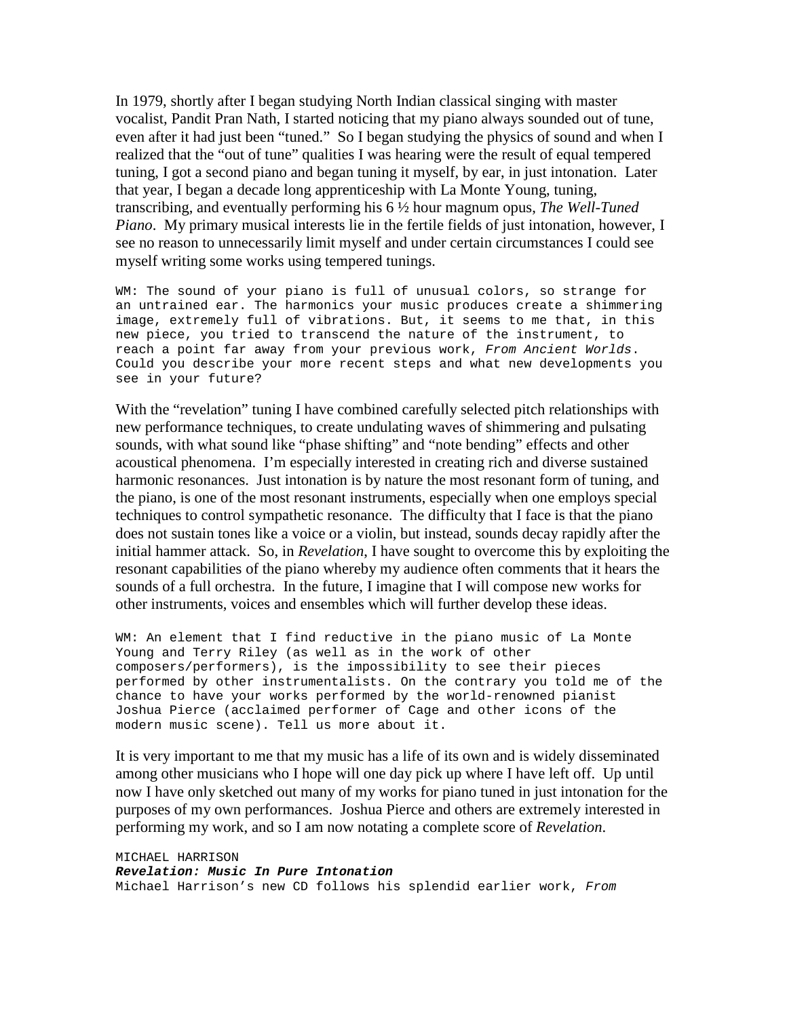In 1979, shortly after I began studying North Indian classical singing with master vocalist, Pandit Pran Nath, I started noticing that my piano always sounded out of tune, even after it had just been "tuned." So I began studying the physics of sound and when I realized that the "out of tune" qualities I was hearing were the result of equal tempered tuning, I got a second piano and began tuning it myself, by ear, in just intonation. Later that year, I began a decade long apprenticeship with La Monte Young, tuning, transcribing, and eventually performing his 6 ½ hour magnum opus, *The Well-Tuned Piano*. My primary musical interests lie in the fertile fields of just intonation, however, I see no reason to unnecessarily limit myself and under certain circumstances I could see myself writing some works using tempered tunings.

WM: The sound of your piano is full of unusual colors, so strange for an untrained ear. The harmonics your music produces create a shimmering image, extremely full of vibrations. But, it seems to me that, in this new piece, you tried to transcend the nature of the instrument, to reach a point far away from your previous work, *From Ancient Worlds*. Could you describe your more recent steps and what new developments you see in your future?

With the "revelation" tuning I have combined carefully selected pitch relationships with new performance techniques, to create undulating waves of shimmering and pulsating sounds, with what sound like "phase shifting" and "note bending" effects and other acoustical phenomena. I'm especially interested in creating rich and diverse sustained harmonic resonances. Just intonation is by nature the most resonant form of tuning, and the piano, is one of the most resonant instruments, especially when one employs special techniques to control sympathetic resonance. The difficulty that I face is that the piano does not sustain tones like a voice or a violin, but instead, sounds decay rapidly after the initial hammer attack. So, in *Revelation*, I have sought to overcome this by exploiting the resonant capabilities of the piano whereby my audience often comments that it hears the sounds of a full orchestra. In the future, I imagine that I will compose new works for other instruments, voices and ensembles which will further develop these ideas.

WM: An element that I find reductive in the piano music of La Monte Young and Terry Riley (as well as in the work of other composers/performers), is the impossibility to see their pieces performed by other instrumentalists. On the contrary you told me of the chance to have your works performed by the world-renowned pianist Joshua Pierce (acclaimed performer of Cage and other icons of the modern music scene). Tell us more about it.

It is very important to me that my music has a life of its own and is widely disseminated among other musicians who I hope will one day pick up where I have left off. Up until now I have only sketched out many of my works for piano tuned in just intonation for the purposes of my own performances. Joshua Pierce and others are extremely interested in performing my work, and so I am now notating a complete score of *Revelation*.

MICHAEL HARRISON *Revelation: Music In Pure Intonation* Michael Harrison's new CD follows his splendid earlier work, *From*